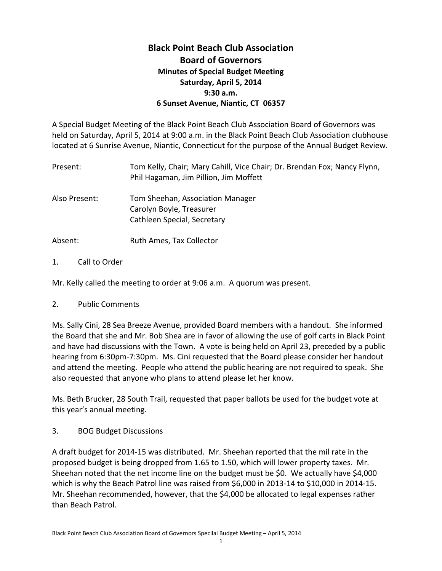## **Black Point Beach Club Association Board of Governors Minutes of Special Budget Meeting Saturday, April 5, 2014 9:30 a.m. 6 Sunset Avenue, Niantic, CT 06357**

A Special Budget Meeting of the Black Point Beach Club Association Board of Governors was held on Saturday, April 5, 2014 at 9:00 a.m. in the Black Point Beach Club Association clubhouse located at 6 Sunrise Avenue, Niantic, Connecticut for the purpose of the Annual Budget Review.

Present: Tom Kelly, Chair; Mary Cahill, Vice Chair; Dr. Brendan Fox; Nancy Flynn, Phil Hagaman, Jim Pillion, Jim Moffett

Also Present: Tom Sheehan, Association Manager Carolyn Boyle, Treasurer Cathleen Special, Secretary

Absent: Ruth Ames, Tax Collector

1. Call to Order

Mr. Kelly called the meeting to order at 9:06 a.m. A quorum was present.

2. Public Comments

Ms. Sally Cini, 28 Sea Breeze Avenue, provided Board members with a handout. She informed the Board that she and Mr. Bob Shea are in favor of allowing the use of golf carts in Black Point and have had discussions with the Town. A vote is being held on April 23, preceded by a public hearing from 6:30pm-7:30pm. Ms. Cini requested that the Board please consider her handout and attend the meeting. People who attend the public hearing are not required to speak. She also requested that anyone who plans to attend please let her know.

Ms. Beth Brucker, 28 South Trail, requested that paper ballots be used for the budget vote at this year's annual meeting.

3. BOG Budget Discussions

A draft budget for 2014-15 was distributed. Mr. Sheehan reported that the mil rate in the proposed budget is being dropped from 1.65 to 1.50, which will lower property taxes. Mr. Sheehan noted that the net income line on the budget must be \$0. We actually have \$4,000 which is why the Beach Patrol line was raised from \$6,000 in 2013-14 to \$10,000 in 2014-15. Mr. Sheehan recommended, however, that the \$4,000 be allocated to legal expenses rather than Beach Patrol.